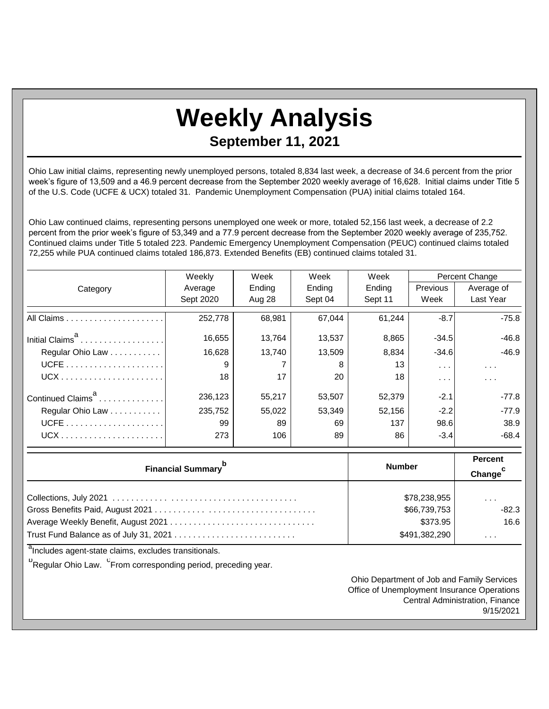## **Weekly Analysis**

## **September 11, 2021**

Ohio Law initial claims, representing newly unemployed persons, totaled 8,834 last week, a decrease of 34.6 percent from the prior week's figure of 13,509 and a 46.9 percent decrease from the September 2020 weekly average of 16,628. Initial claims under Title 5 of the U.S. Code (UCFE & UCX) totaled 31. Pandemic Unemployment Compensation (PUA) initial claims totaled 164.

Ohio Law continued claims, representing persons unemployed one week or more, totaled 52,156 last week, a decrease of 2.2 percent from the prior week's figure of 53,349 and a 77.9 percent decrease from the September 2020 weekly average of 235,752. Continued claims under Title 5 totaled 223. Pandemic Emergency Unemployment Compensation (PEUC) continued claims totaled 72,255 while PUA continued claims totaled 186,873. Extended Benefits (EB) continued claims totaled 31.

|                               | Weekly    | Week   | Week    | Week    | Percent Change                        |                      |
|-------------------------------|-----------|--------|---------|---------|---------------------------------------|----------------------|
| Category                      | Average   | Ending | Ending  | Ending  | Previous                              | Average of           |
|                               | Sept 2020 | Aug 28 | Sept 04 | Sept 11 | Week                                  | Last Year            |
|                               | 252,778   | 68.981 | 67,044  | 61.244  | $-8.7$                                | $-75.8$              |
| Initial Claims <sup>d</sup>   | 16,655    | 13.764 | 13,537  | 8,865   | $-34.5$                               | $-46.8$              |
| Regular Ohio Law              | 16.628    | 13.740 | 13,509  | 8,834   | $-34.6$                               | $-46.9$              |
|                               | 9         |        | 8       | 13      | $\mathbf{r} \rightarrow \mathbf{r}$ . | $\sim$ $\sim$ $\sim$ |
|                               | 18        | 17     | 20      | 18      | $\cdots$                              | $\sim$ $\sim$ $\sim$ |
| Continued Claims <sup>a</sup> | 236,123   | 55.217 | 53,507  | 52,379  | $-2.1$                                | $-77.8$              |
| Regular Ohio Law              | 235,752   | 55.022 | 53,349  | 52.156  | $-2.2$                                | $-77.9$              |
|                               | 99        | 89     | 69      | 137     | 98.6                                  | 38.9                 |
|                               | 273       | 106    | 89      | 86      | $-3.4$                                | $-68.4$              |

| <b>Financial Summary</b> | <b>Number</b> | <b>Percent</b><br>Change |
|--------------------------|---------------|--------------------------|
|                          | \$78,238,955  | $\cdots$                 |
|                          | \$66,739,753  | $-82.3$                  |
|                          | \$373.95      | 16.6                     |
|                          | \$491,382,290 | $\cdots$                 |

<sup>a</sup>Includes agent-state claims, excludes transitionals.

<sup>b</sup>Regular Ohio Law. <sup>C</sup>From corresponding period, preceding year.

Ohio Department of Job and Family Services Office of Unemployment Insurance Operations Central Administration, Finance 9/15/2021